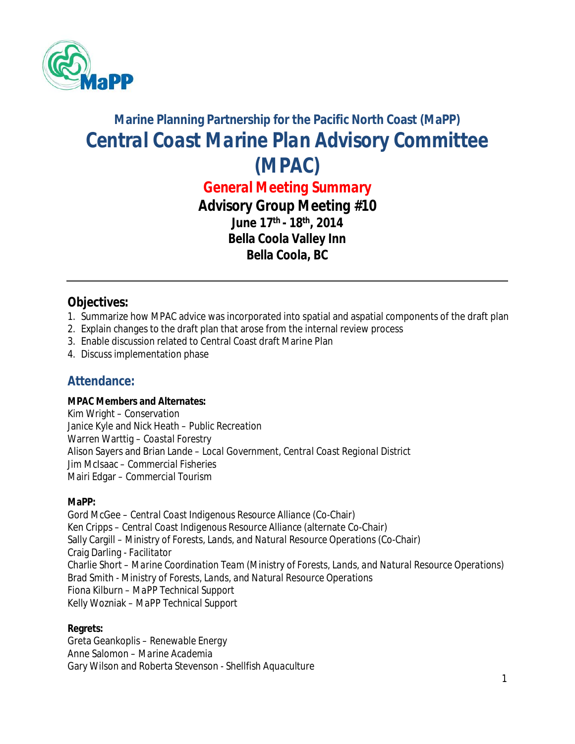

# **Marine Planning Partnership for the Pacific North Coast (MaPP)** *Central Coast Marine Plan Advisory Committee (MPAC)*

*General Meeting Summary Advisory Group Meeting #10* **June 17th - 18th , 2014 Bella Coola Valley Inn Bella Coola, BC**

## **Objectives:**

- 1. Summarize how MPAC advice was incorporated into spatial and aspatial components of the draft plan
- 2. Explain changes to the draft plan that arose from the internal review process
- 3. Enable discussion related to Central Coast draft Marine Plan
- 4. Discuss implementation phase

## **Attendance:**

#### **MPAC Members and Alternates:**

Kim Wright *– Conservation* Janice Kyle and Nick Heath – *Public Recreation* Warren Warttig – *Coastal Forestry* Alison Sayers and Brian Lande – *Local Government, Central Coast Regional District* Jim McIsaac *– Commercial Fisheries* Mairi Edgar *– Commercial Tourism*

#### **MaPP:**

Gord McGee – *Central Coast Indigenous Resource Alliance* (Co-Chair) Ken Cripps – *Central Coast Indigenous Resource Alliance* (alternate Co-Chair) Sally Cargill – *Ministry of Forests, Lands, and Natural Resource Operations* (Co-Chair) Craig Darling *- Facilitator* Charlie Short – *Marine Coordination Team (Ministry of Forests, Lands, and Natural Resource Operations)* Brad Smith - *Ministry of Forests, Lands, and Natural Resource Operations* Fiona Kilburn – *MaPP Technical Support* Kelly Wozniak – *MaPP Technical Support*

#### **Regrets:**

Greta Geankoplis *– Renewable Energy* Anne Salomon *– Marine Academia* Gary Wilson and Roberta Stevenson *- Shellfish Aquaculture*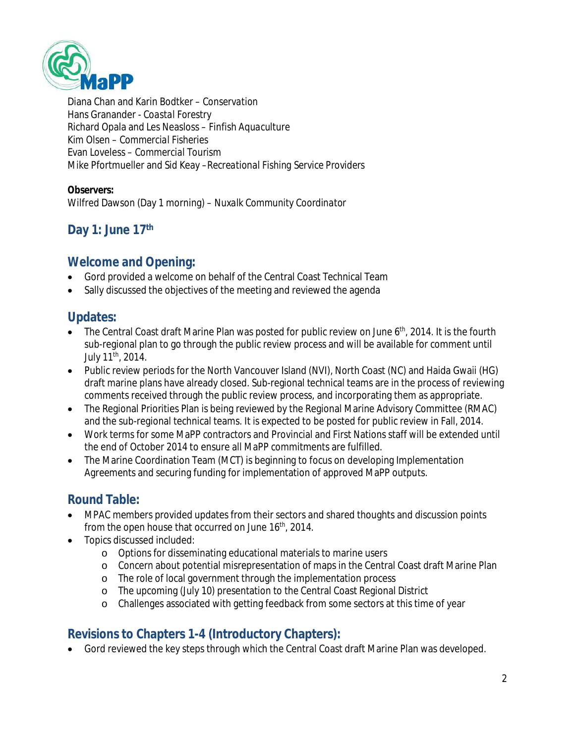

Diana Chan and Karin Bodtker – *Conservation* Hans Granander - *Coastal Forestry* Richard Opala and Les Neasloss – *Finfish Aquaculture* Kim Olsen *– Commercial Fisheries* Evan Loveless *– Commercial Tourism* Mike Pfortmueller and Sid Keay –*Recreational Fishing Service Providers*

**Observers:**

Wilfred Dawson (Day 1 morning) *– Nuxalk Community Coordinator* 

# **Day 1: June 17 th**

#### **Welcome and Opening:**

- Gord provided a welcome on behalf of the Central Coast Technical Team
- Sally discussed the objectives of the meeting and reviewed the agenda

## **Updates:**

- $\bullet$  The Central Coast draft Marine Plan was posted for public review on June 6<sup>th</sup>, 2014. It is the fourth sub-regional plan to go through the public review process and will be available for comment until July 11<sup>th</sup>, 2014.
- Public review periods for the North Vancouver Island (NVI), North Coast (NC) and Haida Gwaii (HG) draft marine plans have already closed. Sub-regional technical teams are in the process of reviewing comments received through the public review process, and incorporating them as appropriate.
- The Regional Priorities Plan is being reviewed by the Regional Marine Advisory Committee (RMAC) and the sub-regional technical teams. It is expected to be posted for public review in Fall, 2014.
- Work terms for some MaPP contractors and Provincial and First Nations staff will be extended until the end of October 2014 to ensure all MaPP commitments are fulfilled.
- The Marine Coordination Team (MCT) is beginning to focus on developing Implementation Agreements and securing funding for implementation of approved MaPP outputs.

# **Round Table:**

- MPAC members provided updates from their sectors and shared thoughts and discussion points from the open house that occurred on June  $16<sup>th</sup>$ , 2014.
- Topics discussed included:
	- o Options for disseminating educational materials to marine users
	- o Concern about potential misrepresentation of maps in the Central Coast draft Marine Plan
	- o The role of local government through the implementation process
	- o The upcoming (July 10) presentation to the Central Coast Regional District
	- o Challenges associated with getting feedback from some sectors at this time of year

# **Revisions to Chapters 1-4 (Introductory Chapters):**

Gord reviewed the key steps through which the Central Coast draft Marine Plan was developed.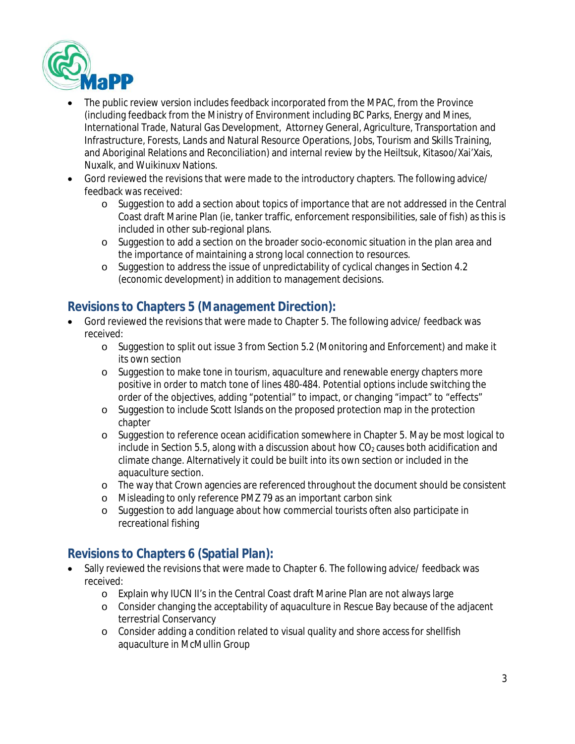

- The public review version includes feedback incorporated from the MPAC, from the Province (including feedback from the Ministry of Environment including BC Parks, Energy and Mines, International Trade, Natural Gas Development, Attorney General, Agriculture, Transportation and Infrastructure, Forests, Lands and Natural Resource Operations, Jobs, Tourism and Skills Training, and Aboriginal Relations and Reconciliation) and internal review by the Heiltsuk, Kitasoo/Xai'Xais, Nuxalk, and Wuikinuxv Nations.
- Gord reviewed the revisions that were made to the introductory chapters. The following advice/ feedback was received:
	- o Suggestion to add a section about topics of importance that are not addressed in the Central Coast draft Marine Plan (ie, tanker traffic, enforcement responsibilities, sale of fish) as this is included in other sub-regional plans.
	- o Suggestion to add a section on the broader socio-economic situation in the plan area and the importance of maintaining a strong local connection to resources.
	- o Suggestion to address the issue of unpredictability of cyclical changes in Section 4.2 (economic development) in addition to management decisions.

# **Revisions to Chapters 5 (Management Direction):**

- Gord reviewed the revisions that were made to Chapter 5. The following advice/ feedback was received:
	- o Suggestion to split out issue 3 from Section 5.2 (Monitoring and Enforcement) and make it its own section
	- o Suggestion to make tone in tourism, aquaculture and renewable energy chapters more positive in order to match tone of lines 480-484. Potential options include switching the order of the objectives, adding "potential" to impact, or changing "impact" to "effects"
	- o Suggestion to include Scott Islands on the proposed protection map in the protection chapter
	- o Suggestion to reference ocean acidification somewhere in Chapter 5. May be most logical to include in Section 5.5, along with a discussion about how  $CO<sub>2</sub>$  causes both acidification and climate change. Alternatively it could be built into its own section or included in the aquaculture section.
	- o The way that Crown agencies are referenced throughout the document should be consistent
	- o Misleading to only reference PMZ 79 as an important carbon sink
	- o Suggestion to add language about how commercial tourists often also participate in recreational fishing

# **Revisions to Chapters 6 (Spatial Plan):**

- Sally reviewed the revisions that were made to Chapter 6. The following advice/ feedback was received:
	- o Explain why IUCN II's in the Central Coast draft Marine Plan are not always large
	- o Consider changing the acceptability of aquaculture in Rescue Bay because of the adjacent terrestrial Conservancy
	- o Consider adding a condition related to visual quality and shore access for shellfish aquaculture in McMullin Group